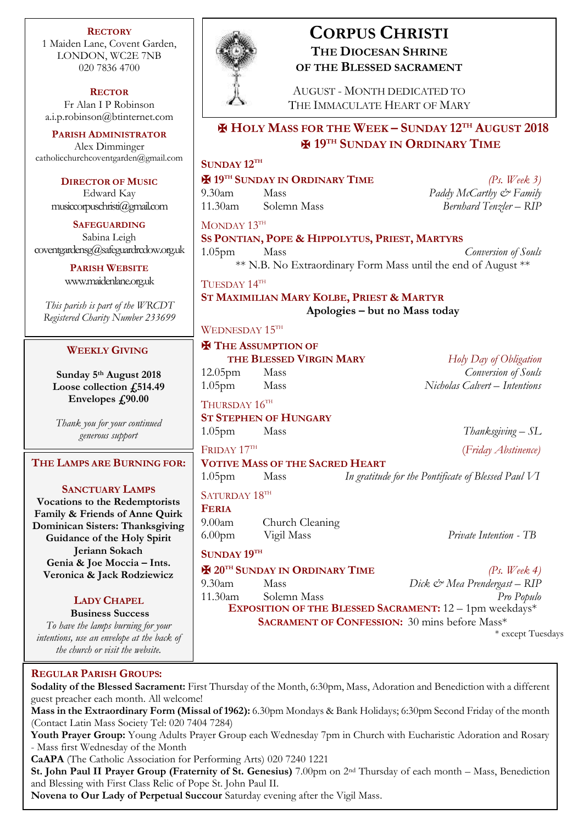**RECTORY** 1 Maiden Lane, Covent Garden, LONDON, WC2E 7NB 020 7836 4700

**RECTOR** Fr Alan I P Robinson [a.i.p.robinson@btinternet.com](mailto:a.i.p.robinson@btinternet.com)

**PARISH ADMINISTRATOR** Alex Dimminger [catholicchurchcoventgarden@gmail.com](mailto:catholicchurchcoventgarden@gmail.com)

**DIRECTOR OF MUSIC** Edward Kay musiccorpuschristi@gmail.com

**SAFEGUARDING** Sabina Leigh [coventgardensg@safeguardrcdow.org.uk](mailto:coventgardensg@safeguardrcdow.org.uk)

> **PARISH WEBSITE** [www.maidenlane.org.uk](http://www.maidenlane.org.uk/)

*This parish is part of the WRCDT Registered Charity Number 233699*

### **WEEKLY GIVING**

**Sunday 5 th August 2018 Loose collection £514.49** Envelopes  $\text{\textsterling}90.00$ 

*Thank you for your continued generous support*

**THE LAMPS ARE BURNING FOR:**

### **SANCTUARY LAMPS**

**Vocations to the Redemptorists Family & Friends of Anne Quirk Dominican Sisters: Thanksgiving Guidance of the Holy Spirit Jeriann Sokach Genia & Joe Moccia – Ints. Veronica & Jack Rodziewicz**

### **LADY CHAPEL**

**Business Success** *To have the lamps burning for your* 

*intentions, use an envelope at the back of the church or visit the website.*

### **REGULAR PARISH GROUPS:**

**Sodality of the Blessed Sacrament:** First Thursday of the Month, 6:30pm, Mass, Adoration and Benediction with a different guest preacher each month. All welcome!

**Mass in the Extraordinary Form (Missal of 1962):** 6.30pm Mondays & Bank Holidays; 6:30pm Second Friday of the month (Contact Latin Mass Society Tel: 020 7404 7284)

**Youth Prayer Group:** Young Adults Prayer Group each Wednesday 7pm in Church with Eucharistic Adoration and Rosary - Mass first Wednesday of the Month

**CaAPA** (The Catholic Association for Performing Arts) 020 7240 1221

**St. John Paul II Prayer Group (Fraternity of St. Genesius)** 7.00pm on 2nd Thursday of each month – Mass, Benediction and Blessing with First Class Relic of Pope St. John Paul II.

**Novena to Our Lady of Perpetual Succour** Saturday evening after the Vigil Mass.



# **CORPUS CHRISTI THE DIOCESAN SHRINE OF THE BLESSED SACRAMENT**

AUGUST - MONTH DEDICATED TO THE IMMACULATE HEART OF MARY

# ✠ **HOLY MASS FOR THE WEEK – SUNDAY 12TH AUGUST 2018** ✠ **19TH SUNDAY IN ORDINARY TIME**

## **SUNDAY 12TH**

### ✠ **19TH SUNDAY IN ORDINARY TIME** *(Ps. Week 3)*

9.30am Mass *Paddy McCarthy & Family* 11.30am Solemn Mass *Bernhard Tenzler – RIP*

MONDAY 13TH **SS PONTIAN, POPE & HIPPOLYTUS, PRIEST, MARTYRS** 1.05pm Mass *Conversion of Souls* \*\* N.B. No Extraordinary Form Mass until the end of August \*\*

TUESDAY 14TH **ST MAXIMILIAN MARY KOLBE, PRIEST & MARTYR Apologies – but no Mass today**

### WEDNESDAY 15TH

# ✠ **THE ASSUMPTION OF**

**THE BLESSED VIRGIN MARY** *Holy Day of Obligation* 12.05pm Mass *Conversion of Souls* 1.05pm Mass *Nicholas Calvert – Intentions*

THURSDAY  $16^{TH}$ 

**ST STEPHEN OF HUNGARY** 1.05pm Mass *Thanksgiving – SL*

FRIDAY 17TH

**VOTIVE MASS OF THE SACRED HEART**

1.05pm Mass *In gratitude for the Pontificate of Blessed Paul VI* SATURDAY 18TH

**FERIA**

9.00am Church Cleaning 6.00pm Vigil Mass *Private Intention - TB*

**SUNDAY 19TH**

✠ **20TH SUNDAY IN ORDINARY TIME** *(Ps. Week 4)* 9.30am Mass *Dick & Mea Prendergast – RIP* 11.30am Solemn Mass *Pro Populo* **EXPOSITION OF THE BLESSED SACRAMENT:** 12 – 1pm weekdays\*

(*Friday Abstinence)*

**SACRAMENT OF CONFESSION:** 30 mins before Mass\*

\* except Tuesdays